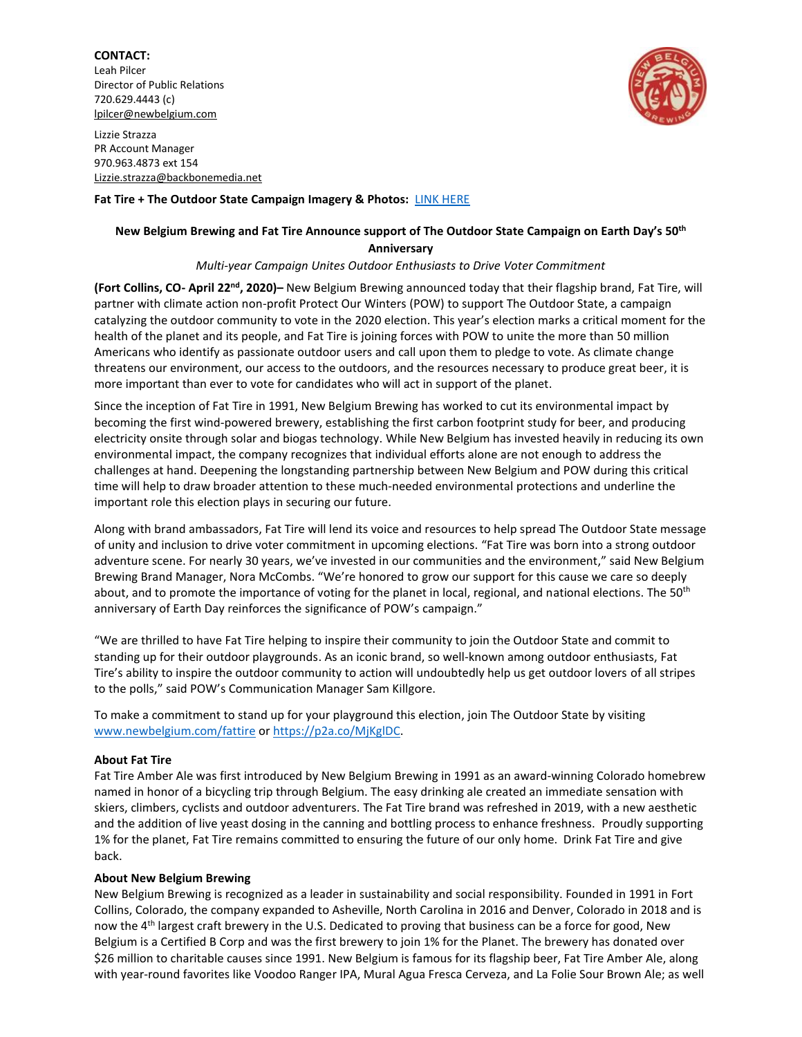# **CONTACT:** Leah Pilcer Director of Public Relations

Lizzie Strazza PR Account Manager 970.963.4873 ext 154

720.629.4443 (c) [lpilcer@newbelgium.com](mailto:lpilcer@newbelgium.com)

[Lizzie.strazza@backbonemedia.net](mailto:Lizzie.strazza@backbonemedia.net)



**Fat Tire + The Outdoor State Campaign Imagery & Photos:** [LINK HERE](https://brandfolder.com/s/q93wmg-djswwg-9oyqiw)

## **New Belgium Brewing and Fat Tire Announce support of The Outdoor State Campaign on Earth Day's 50th Anniversary**

### *Multi-year Campaign Unites Outdoor Enthusiasts to Drive Voter Commitment*

**(Fort Collins, CO- April 22nd, 2020)–** New Belgium Brewing announced today that their flagship brand, Fat Tire, will partner with climate action non-profit Protect Our Winters (POW) to support The Outdoor State, a campaign catalyzing the outdoor community to vote in the 2020 election. This year's election marks a critical moment for the health of the planet and its people, and Fat Tire is joining forces with POW to unite the more than 50 million Americans who identify as passionate outdoor users and call upon them to pledge to vote. As climate change threatens our environment, our access to the outdoors, and the resources necessary to produce great beer, it is more important than ever to vote for candidates who will act in support of the planet.

Since the inception of Fat Tire in 1991, New Belgium Brewing has worked to cut its environmental impact by becoming the first wind-powered brewery, establishing the first carbon footprint study for beer, and producing electricity onsite through solar and biogas technology. While New Belgium has invested heavily in reducing its own environmental impact, the company recognizes that individual efforts alone are not enough to address the challenges at hand. Deepening the longstanding partnership between New Belgium and POW during this critical time will help to draw broader attention to these much-needed environmental protections and underline the important role this election plays in securing our future.

Along with brand ambassadors, Fat Tire will lend its voice and resources to help spread The Outdoor State message of unity and inclusion to drive voter commitment in upcoming elections. "Fat Tire was born into a strong outdoor adventure scene. For nearly 30 years, we've invested in our communities and the environment," said New Belgium Brewing Brand Manager, Nora McCombs. "We're honored to grow our support for this cause we care so deeply about, and to promote the importance of voting for the planet in local, regional, and national elections. The 50<sup>th</sup> anniversary of Earth Day reinforces the significance of POW's campaign."

"We are thrilled to have Fat Tire helping to inspire their community to join the Outdoor State and commit to standing up for their outdoor playgrounds. As an iconic brand, so well-known among outdoor enthusiasts, Fat Tire's ability to inspire the outdoor community to action will undoubtedly help us get outdoor lovers of all stripes to the polls," said POW's Communication Manager Sam Killgore.

To make a commitment to stand up for your playground this election, join The Outdoor State by visiting [www.newbelgium.com/fattire](http://www.newbelgium.com/fattire) or [https://p2a.co/MjKglDC.](https://p2a.co/MjKglDC)

#### **About Fat Tire**

Fat Tire Amber Ale was first introduced by New Belgium Brewing in 1991 as an award-winning Colorado homebrew named in honor of a bicycling trip through Belgium. The easy drinking ale created an immediate sensation with skiers, climbers, cyclists and outdoor adventurers. The Fat Tire brand was refreshed in 2019, with a new aesthetic and the addition of live yeast dosing in the canning and bottling process to enhance freshness. Proudly supporting 1% for the planet, Fat Tire remains committed to ensuring the future of our only home. Drink Fat Tire and give back.

#### **About New Belgium Brewing**

New Belgium Brewing is recognized as a leader in sustainability and social responsibility. Founded in 1991 in Fort Collins, Colorado, the company expanded to Asheville, North Carolina in 2016 and Denver, Colorado in 2018 and is now the 4th largest craft brewery in the U.S. Dedicated to proving that business can be a force for good, New Belgium is a Certified B Corp and was the first brewery to join 1% for the Planet. The brewery has donated over \$26 million to charitable causes since 1991. New Belgium is famous for its flagship beer, Fat Tire Amber Ale, along with year-round favorites like Voodoo Ranger IPA, Mural Agua Fresca Cerveza, and La Folie Sour Brown Ale; as well